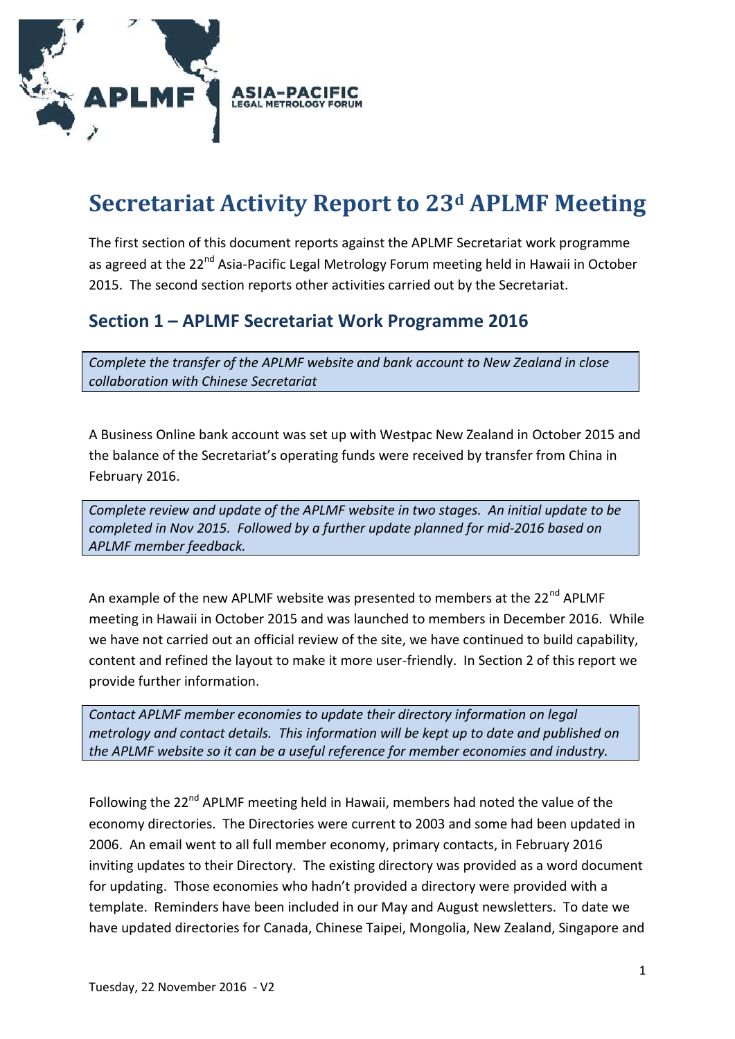

# **Secretariat Activity Report to 23<sup>d</sup> APLMF Meeting**

The first section of this document reports against the APLMF Secretariat work programme as agreed at the 22<sup>nd</sup> Asia-Pacific Legal Metrology Forum meeting held in Hawaii in October 2015. The second section reports other activities carried out by the Secretariat.

## **Section 1 – APLMF Secretariat Work Programme 2016**

*Complete the transfer of the APLMF website and bank account to New Zealand in close collaboration with Chinese Secretariat*

A Business Online bank account was set up with Westpac New Zealand in October 2015 and the balance of the Secretariat's operating funds were received by transfer from China in February 2016.

*Complete review and update of the APLMF website in two stages. An initial update to be completed in Nov 2015. Followed by a further update planned for mid-2016 based on APLMF member feedback.*

An example of the new APLMF website was presented to members at the 22<sup>nd</sup> APLMF meeting in Hawaii in October 2015 and was launched to members in December 2016. While we have not carried out an official review of the site, we have continued to build capability, content and refined the layout to make it more user-friendly. In Section 2 of this report we provide further information.

*Contact APLMF member economies to update their directory information on legal metrology and contact details. This information will be kept up to date and published on the APLMF website so it can be a useful reference for member economies and industry.*

Following the 22<sup>nd</sup> APLMF meeting held in Hawaii, members had noted the value of the economy directories. The Directories were current to 2003 and some had been updated in 2006. An email went to all full member economy, primary contacts, in February 2016 inviting updates to their Directory. The existing directory was provided as a word document for updating. Those economies who hadn't provided a directory were provided with a template. Reminders have been included in our May and August newsletters. To date we have updated directories for Canada, Chinese Taipei, Mongolia, New Zealand, Singapore and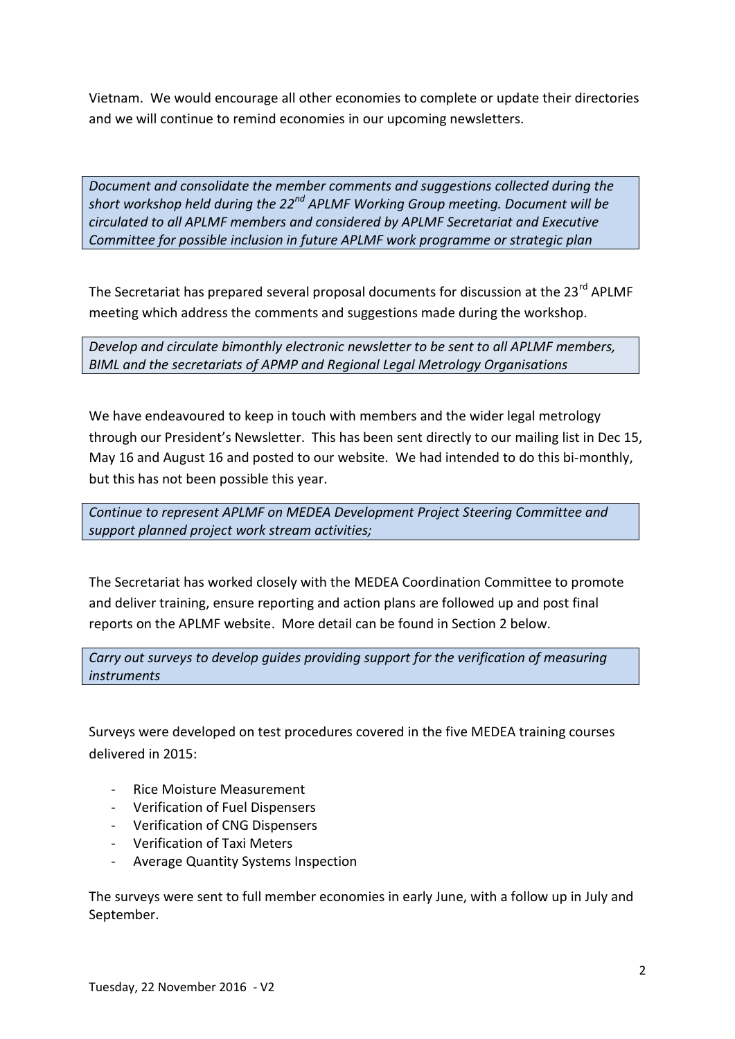Vietnam. We would encourage all other economies to complete or update their directories and we will continue to remind economies in our upcoming newsletters.

*Document and consolidate the member comments and suggestions collected during the short workshop held during the 22nd APLMF Working Group meeting. Document will be circulated to all APLMF members and considered by APLMF Secretariat and Executive Committee for possible inclusion in future APLMF work programme or strategic plan*

The Secretariat has prepared several proposal documents for discussion at the 23<sup>rd</sup> APLMF meeting which address the comments and suggestions made during the workshop.

*Develop and circulate bimonthly electronic newsletter to be sent to all APLMF members, BIML and the secretariats of APMP and Regional Legal Metrology Organisations*

We have endeavoured to keep in touch with members and the wider legal metrology through our President's Newsletter. This has been sent directly to our mailing list in Dec 15, May 16 and August 16 and posted to our website. We had intended to do this bi-monthly, but this has not been possible this year.

*Continue to represent APLMF on MEDEA Development Project Steering Committee and support planned project work stream activities;*

The Secretariat has worked closely with the MEDEA Coordination Committee to promote and deliver training, ensure reporting and action plans are followed up and post final reports on the APLMF website. More detail can be found in Section 2 below.

*Carry out surveys to develop guides providing support for the verification of measuring instruments*

Surveys were developed on test procedures covered in the five MEDEA training courses delivered in 2015:

- Rice Moisture Measurement
- Verification of Fuel Dispensers
- Verification of CNG Dispensers
- Verification of Taxi Meters
- Average Quantity Systems Inspection

The surveys were sent to full member economies in early June, with a follow up in July and September.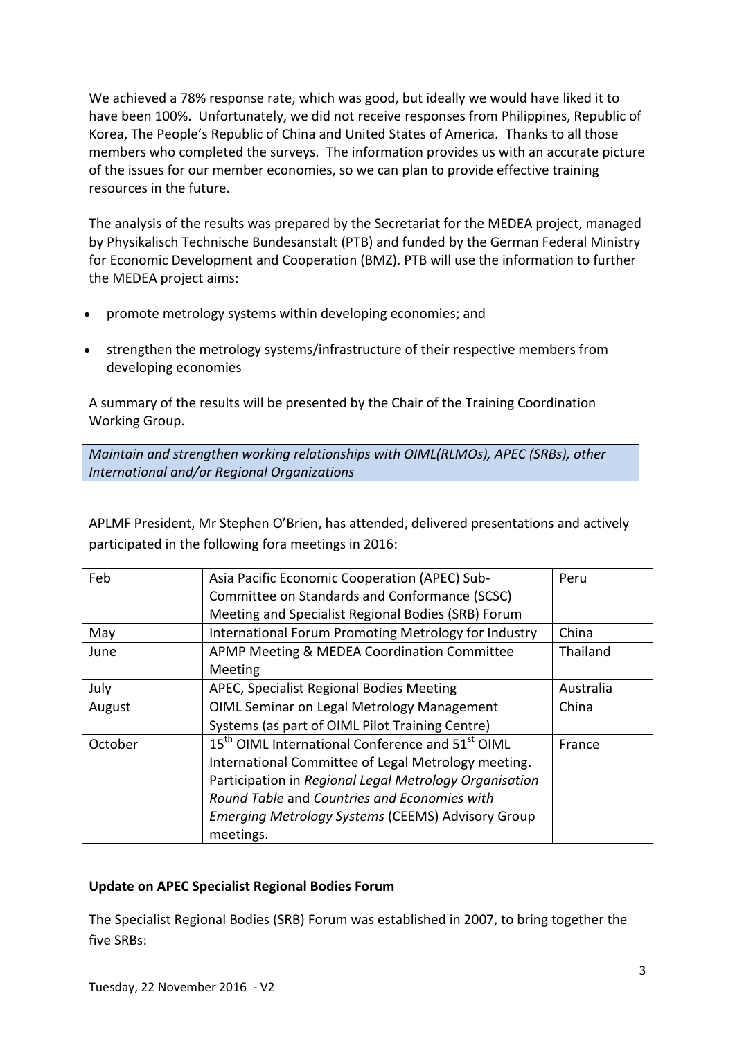We achieved a 78% response rate, which was good, but ideally we would have liked it to have been 100%. Unfortunately, we did not receive responses from Philippines, Republic of Korea, The People's Republic of China and United States of America. Thanks to all those members who completed the surveys. The information provides us with an accurate picture of the issues for our member economies, so we can plan to provide effective training resources in the future.

The analysis of the results was prepared by the Secretariat for the MEDEA project, managed by Physikalisch Technische Bundesanstalt (PTB) and funded by the German Federal Ministry for Economic Development and Cooperation (BMZ). PTB will use the information to further the MEDEA project aims:

- promote metrology systems within developing economies; and
- strengthen the metrology systems/infrastructure of their respective members from developing economies

A summary of the results will be presented by the Chair of the Training Coordination Working Group.

*Maintain and strengthen working relationships with OIML(RLMOs), APEC (SRBs), other International and/or Regional Organizations*

APLMF President, Mr Stephen O'Brien, has attended, delivered presentations and actively participated in the following fora meetings in 2016:

| Feb     | Asia Pacific Economic Cooperation (APEC) Sub-                            | Peru      |
|---------|--------------------------------------------------------------------------|-----------|
|         | Committee on Standards and Conformance (SCSC)                            |           |
|         | Meeting and Specialist Regional Bodies (SRB) Forum                       |           |
| May     | International Forum Promoting Metrology for Industry                     | China     |
| June    | APMP Meeting & MEDEA Coordination Committee                              | Thailand  |
|         | Meeting                                                                  |           |
| July    | APEC, Specialist Regional Bodies Meeting                                 | Australia |
| August  | OIML Seminar on Legal Metrology Management                               | China     |
|         | Systems (as part of OIML Pilot Training Centre)                          |           |
| October | 15 <sup>th</sup> OIML International Conference and 51 <sup>st</sup> OIML | France    |
|         | International Committee of Legal Metrology meeting.                      |           |
|         | Participation in Regional Legal Metrology Organisation                   |           |
|         | Round Table and Countries and Economies with                             |           |
|         | Emerging Metrology Systems (CEEMS) Advisory Group                        |           |
|         | meetings.                                                                |           |

## **Update on APEC Specialist Regional Bodies Forum**

The Specialist Regional Bodies (SRB) Forum was established in 2007, to bring together the five SRBs: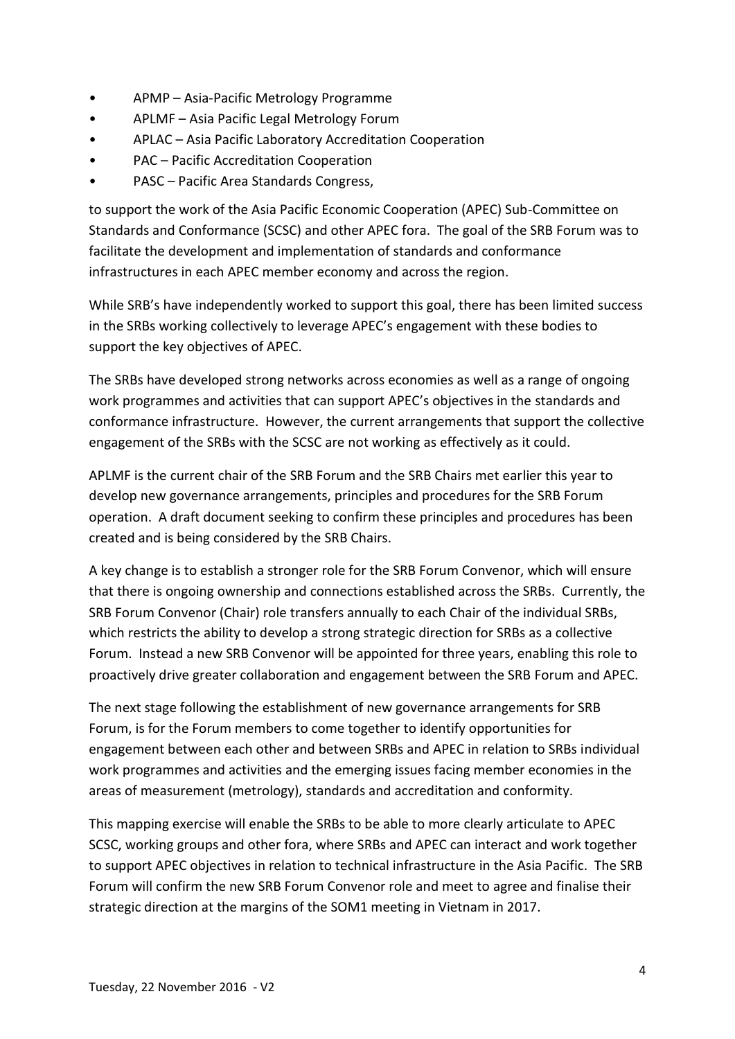- APMP Asia-Pacific Metrology Programme
- APLMF Asia Pacific Legal Metrology Forum
- APLAC Asia Pacific Laboratory Accreditation Cooperation
- PAC Pacific Accreditation Cooperation
- PASC Pacific Area Standards Congress,

to support the work of the Asia Pacific Economic Cooperation (APEC) Sub-Committee on Standards and Conformance (SCSC) and other APEC fora. The goal of the SRB Forum was to facilitate the development and implementation of standards and conformance infrastructures in each APEC member economy and across the region.

While SRB's have independently worked to support this goal, there has been limited success in the SRBs working collectively to leverage APEC's engagement with these bodies to support the key objectives of APEC.

The SRBs have developed strong networks across economies as well as a range of ongoing work programmes and activities that can support APEC's objectives in the standards and conformance infrastructure. However, the current arrangements that support the collective engagement of the SRBs with the SCSC are not working as effectively as it could.

APLMF is the current chair of the SRB Forum and the SRB Chairs met earlier this year to develop new governance arrangements, principles and procedures for the SRB Forum operation. A draft document seeking to confirm these principles and procedures has been created and is being considered by the SRB Chairs.

A key change is to establish a stronger role for the SRB Forum Convenor, which will ensure that there is ongoing ownership and connections established across the SRBs. Currently, the SRB Forum Convenor (Chair) role transfers annually to each Chair of the individual SRBs, which restricts the ability to develop a strong strategic direction for SRBs as a collective Forum. Instead a new SRB Convenor will be appointed for three years, enabling this role to proactively drive greater collaboration and engagement between the SRB Forum and APEC.

The next stage following the establishment of new governance arrangements for SRB Forum, is for the Forum members to come together to identify opportunities for engagement between each other and between SRBs and APEC in relation to SRBs individual work programmes and activities and the emerging issues facing member economies in the areas of measurement (metrology), standards and accreditation and conformity.

This mapping exercise will enable the SRBs to be able to more clearly articulate to APEC SCSC, working groups and other fora, where SRBs and APEC can interact and work together to support APEC objectives in relation to technical infrastructure in the Asia Pacific. The SRB Forum will confirm the new SRB Forum Convenor role and meet to agree and finalise their strategic direction at the margins of the SOM1 meeting in Vietnam in 2017.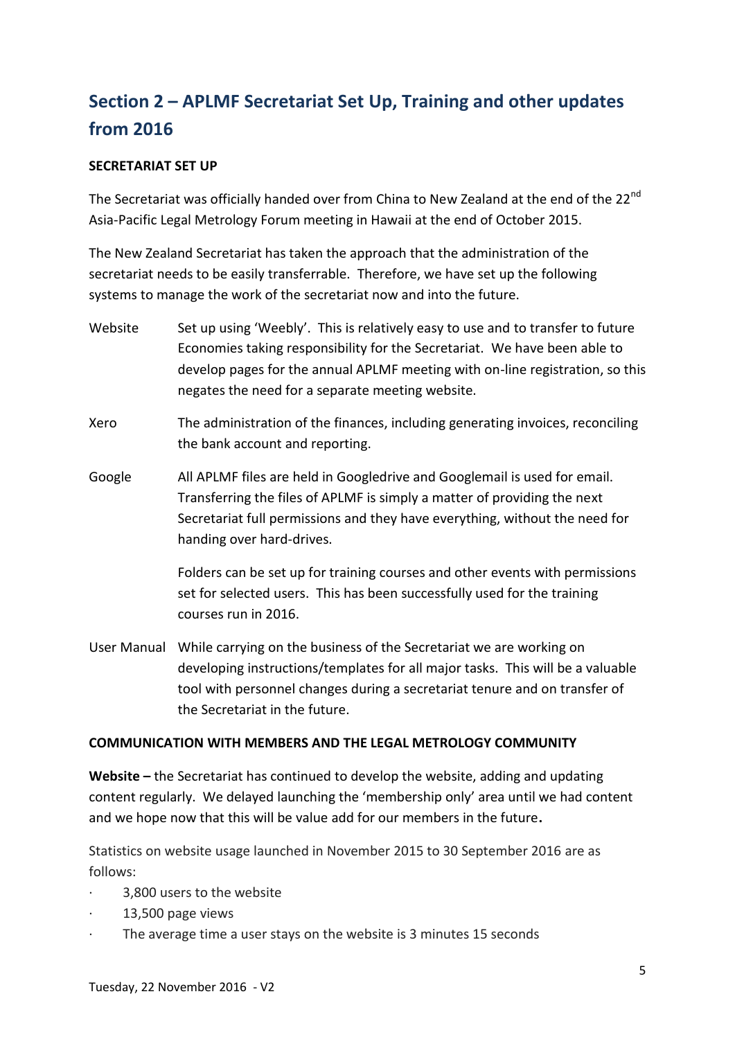## **Section 2 – APLMF Secretariat Set Up, Training and other updates from 2016**

## **SECRETARIAT SET UP**

The Secretariat was officially handed over from China to New Zealand at the end of the 22<sup>nd</sup> Asia-Pacific Legal Metrology Forum meeting in Hawaii at the end of October 2015.

The New Zealand Secretariat has taken the approach that the administration of the secretariat needs to be easily transferrable. Therefore, we have set up the following systems to manage the work of the secretariat now and into the future.

Website Set up using 'Weebly'. This is relatively easy to use and to transfer to future Economies taking responsibility for the Secretariat. We have been able to develop pages for the annual APLMF meeting with on-line registration, so this negates the need for a separate meeting website. Xero The administration of the finances, including generating invoices, reconciling the bank account and reporting. Google All APLMF files are held in Googledrive and Googlemail is used for email. Transferring the files of APLMF is simply a matter of providing the next Secretariat full permissions and they have everything, without the need for handing over hard-drives. Folders can be set up for training courses and other events with permissions set for selected users. This has been successfully used for the training courses run in 2016. User Manual While carrying on the business of the Secretariat we are working on developing instructions/templates for all major tasks. This will be a valuable tool with personnel changes during a secretariat tenure and on transfer of the Secretariat in the future.

### **COMMUNICATION WITH MEMBERS AND THE LEGAL METROLOGY COMMUNITY**

**Website –** the Secretariat has continued to develop the website, adding and updating content regularly. We delayed launching the 'membership only' area until we had content and we hope now that this will be value add for our members in the future**.**

Statistics on website usage launched in November 2015 to 30 September 2016 are as follows:

- 3,800 users to the website
- · 13,500 page views
- The average time a user stays on the website is 3 minutes 15 seconds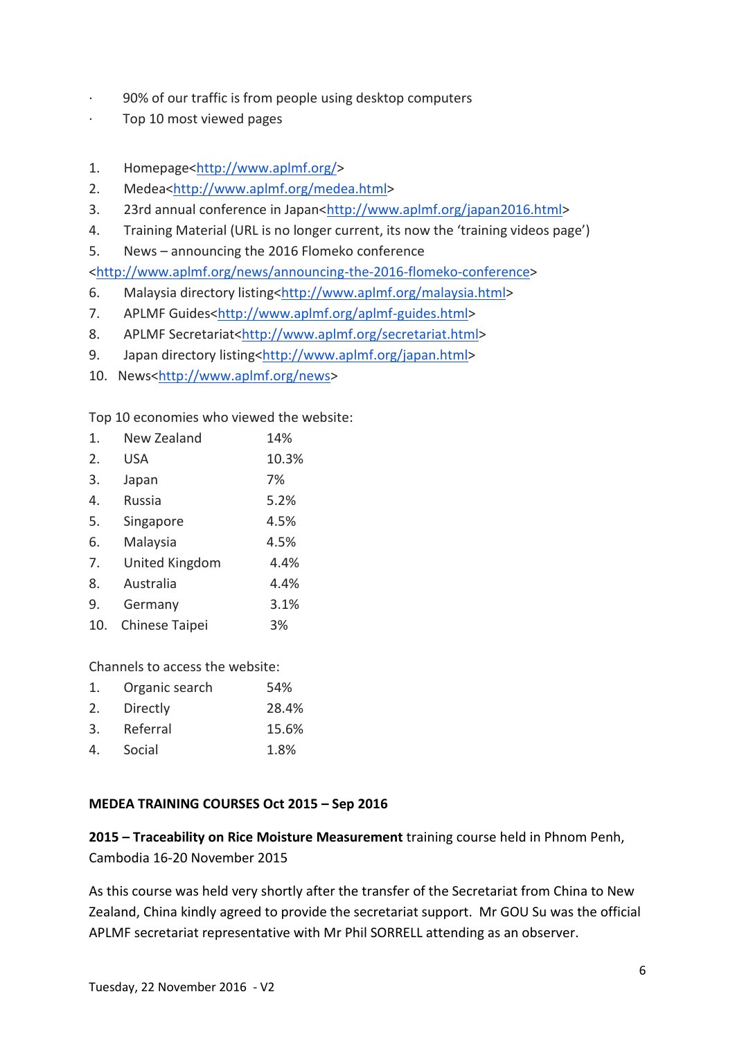- · 90% of our traffic is from people using desktop computers
- · Top 10 most viewed pages
- 1. Homepage[<http://www.aplmf.org/>](http://www.aplmf.org/)
- 2. Medea[<http://www.aplmf.org/medea.html>](http://www.aplmf.org/medea.html)
- 3. 23rd annual conference in Japan[<http://www.aplmf.org/japan2016.html>](http://www.aplmf.org/japan2016.html)
- 4. Training Material (URL is no longer current, its now the 'training videos page')
- 5. News announcing the 2016 Flomeko conference

[<http://www.aplmf.org/news/announcing-the-2016-flomeko-conference>](http://www.aplmf.org/news/announcing-the-2016-flomeko-conference)

- 6. Malaysia directory listing[<http://www.aplmf.org/malaysia.html>](http://www.aplmf.org/malaysia.html)
- 7. APLMF Guides[<http://www.aplmf.org/aplmf-guides.html>](http://www.aplmf.org/aplmf-guides.html)
- 8. APLMF Secretariat[<http://www.aplmf.org/secretariat.html>](http://www.aplmf.org/secretariat.html)
- 9. Japan directory listing[<http://www.aplmf.org/japan.html>](http://www.aplmf.org/japan.html)
- 10. News[<http://www.aplmf.org/news>](http://www.aplmf.org/news)

Top 10 economies who viewed the website:

| 1.  | New Zealand    | 14%   |
|-----|----------------|-------|
| 2.  | <b>USA</b>     | 10.3% |
| 3.  | Japan          | 7%    |
| 4.  | Russia         | 5.2%  |
| 5.  | Singapore      | 4.5%  |
| 6.  | Malaysia       | 4.5%  |
| 7.  | United Kingdom | 4.4%  |
| 8.  | Australia      | 4.4%  |
| 9.  | Germany        | 3.1%  |
| 10. | Chinese Taipei | 3%    |

Channels to access the website:

| 1. | Organic search | 54%   |
|----|----------------|-------|
| 2. | Directly       | 28.4% |
| 3. | Referral       | 15.6% |
| 4. | Social         | 1.8%  |

## **MEDEA TRAINING COURSES Oct 2015 – Sep 2016**

**2015 – Traceability on Rice Moisture Measurement** training course held in Phnom Penh, Cambodia 16-20 November 2015

As this course was held very shortly after the transfer of the Secretariat from China to New Zealand, China kindly agreed to provide the secretariat support. Mr GOU Su was the official APLMF secretariat representative with Mr Phil SORRELL attending as an observer.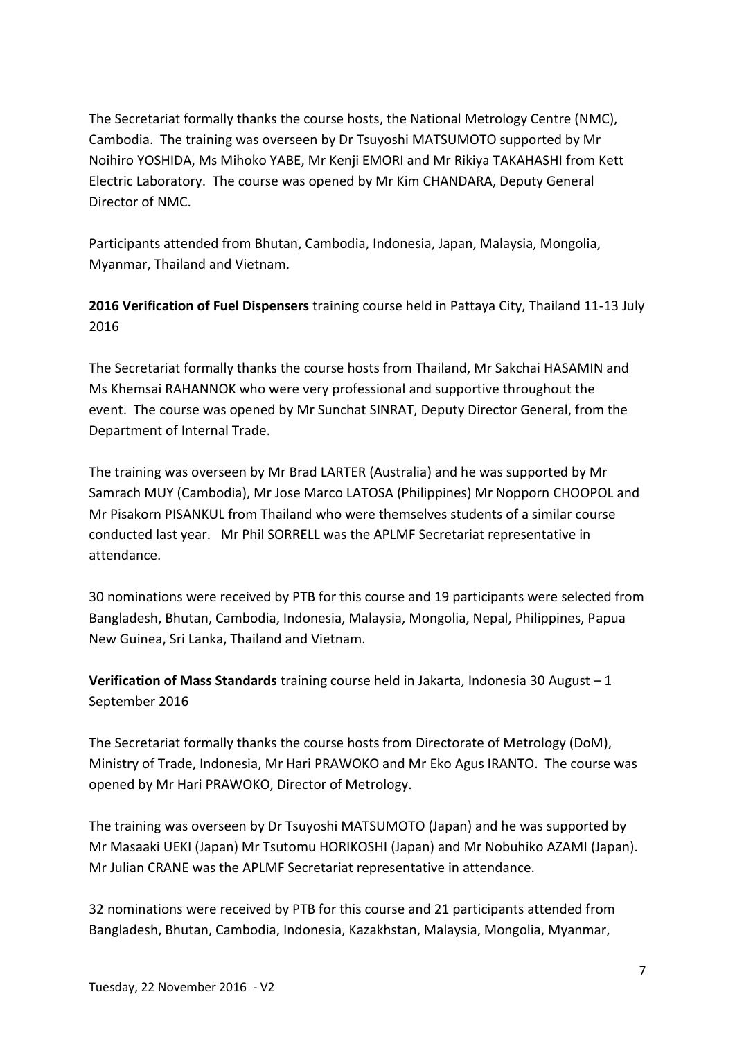The Secretariat formally thanks the course hosts, the National Metrology Centre (NMC), Cambodia. The training was overseen by Dr Tsuyoshi MATSUMOTO supported by Mr Noihiro YOSHIDA, Ms Mihoko YABE, Mr Kenji EMORI and Mr Rikiya TAKAHASHI from Kett Electric Laboratory. The course was opened by Mr Kim CHANDARA, Deputy General Director of NMC.

Participants attended from Bhutan, Cambodia, Indonesia, Japan, Malaysia, Mongolia, Myanmar, Thailand and Vietnam.

**2016 Verification of Fuel Dispensers** training course held in Pattaya City, Thailand 11-13 July 2016

The Secretariat formally thanks the course hosts from Thailand, Mr Sakchai HASAMIN and Ms Khemsai RAHANNOK who were very professional and supportive throughout the event. The course was opened by Mr Sunchat SINRAT, Deputy Director General, from the Department of Internal Trade.

The training was overseen by Mr Brad LARTER (Australia) and he was supported by Mr Samrach MUY (Cambodia), Mr Jose Marco LATOSA (Philippines) Mr Nopporn CHOOPOL and Mr Pisakorn PISANKUL from Thailand who were themselves students of a similar course conducted last year. Mr Phil SORRELL was the APLMF Secretariat representative in attendance.

30 nominations were received by PTB for this course and 19 participants were selected from Bangladesh, Bhutan, Cambodia, Indonesia, Malaysia, Mongolia, Nepal, Philippines, Papua New Guinea, Sri Lanka, Thailand and Vietnam.

**Verification of Mass Standards** training course held in Jakarta, Indonesia 30 August – 1 September 2016

The Secretariat formally thanks the course hosts from Directorate of Metrology (DoM), Ministry of Trade, Indonesia, Mr Hari PRAWOKO and Mr Eko Agus IRANTO. The course was opened by Mr Hari PRAWOKO, Director of Metrology.

The training was overseen by Dr Tsuyoshi MATSUMOTO (Japan) and he was supported by Mr Masaaki UEKI (Japan) Mr Tsutomu HORIKOSHI (Japan) and Mr Nobuhiko AZAMI (Japan). Mr Julian CRANE was the APLMF Secretariat representative in attendance.

32 nominations were received by PTB for this course and 21 participants attended from Bangladesh, Bhutan, Cambodia, Indonesia, Kazakhstan, Malaysia, Mongolia, Myanmar,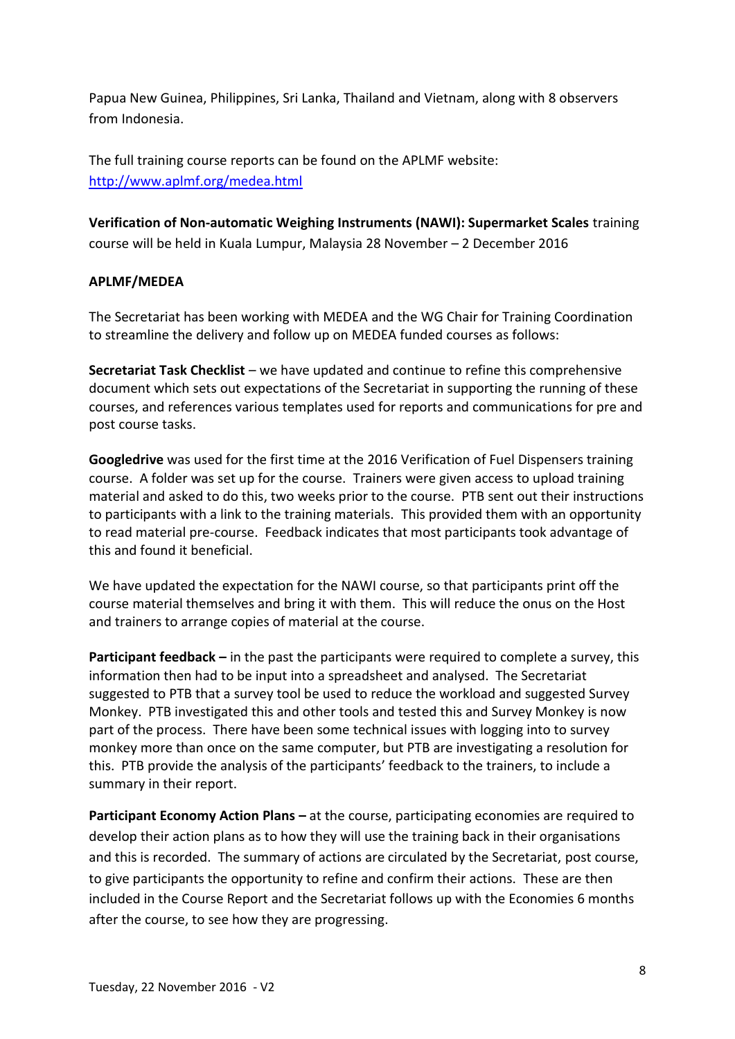Papua New Guinea, Philippines, Sri Lanka, Thailand and Vietnam, along with 8 observers from Indonesia.

The full training course reports can be found on the APLMF website: <http://www.aplmf.org/medea.html>

## **Verification of Non-automatic Weighing Instruments (NAWI): Supermarket Scales** training course will be held in Kuala Lumpur, Malaysia 28 November – 2 December 2016

## **APLMF/MEDEA**

The Secretariat has been working with MEDEA and the WG Chair for Training Coordination to streamline the delivery and follow up on MEDEA funded courses as follows:

**Secretariat Task Checklist** – we have updated and continue to refine this comprehensive document which sets out expectations of the Secretariat in supporting the running of these courses, and references various templates used for reports and communications for pre and post course tasks.

**Googledrive** was used for the first time at the 2016 Verification of Fuel Dispensers training course. A folder was set up for the course. Trainers were given access to upload training material and asked to do this, two weeks prior to the course. PTB sent out their instructions to participants with a link to the training materials. This provided them with an opportunity to read material pre-course. Feedback indicates that most participants took advantage of this and found it beneficial.

We have updated the expectation for the NAWI course, so that participants print off the course material themselves and bring it with them. This will reduce the onus on the Host and trainers to arrange copies of material at the course.

**Participant feedback –** in the past the participants were required to complete a survey, this information then had to be input into a spreadsheet and analysed. The Secretariat suggested to PTB that a survey tool be used to reduce the workload and suggested Survey Monkey. PTB investigated this and other tools and tested this and Survey Monkey is now part of the process. There have been some technical issues with logging into to survey monkey more than once on the same computer, but PTB are investigating a resolution for this. PTB provide the analysis of the participants' feedback to the trainers, to include a summary in their report.

**Participant Economy Action Plans –** at the course, participating economies are required to develop their action plans as to how they will use the training back in their organisations and this is recorded. The summary of actions are circulated by the Secretariat, post course, to give participants the opportunity to refine and confirm their actions. These are then included in the Course Report and the Secretariat follows up with the Economies 6 months after the course, to see how they are progressing.